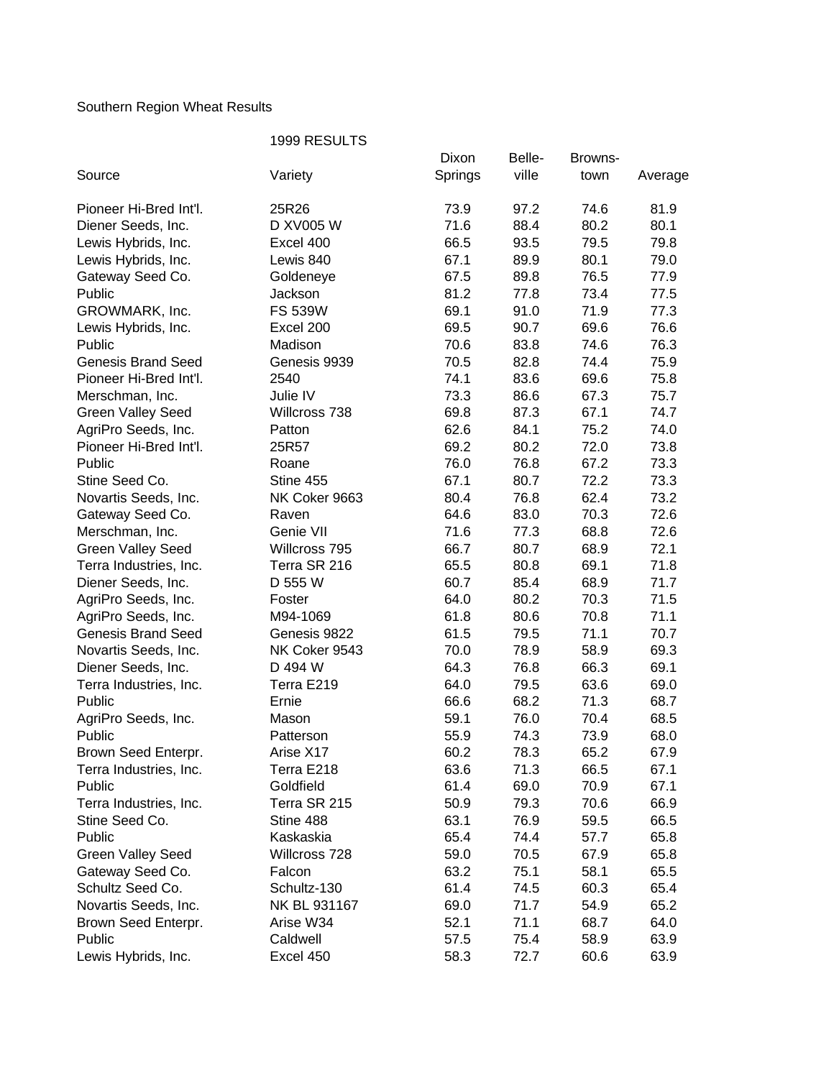## Southern Region Wheat Results

|                           | 1999 RESULTS   |         |        |         |         |  |  |
|---------------------------|----------------|---------|--------|---------|---------|--|--|
|                           |                | Dixon   | Belle- | Browns- |         |  |  |
| Source                    | Variety        | Springs | ville  | town    | Average |  |  |
| Pioneer Hi-Bred Int'l.    | 25R26          | 73.9    | 97.2   | 74.6    | 81.9    |  |  |
| Diener Seeds, Inc.        | D XV005 W      | 71.6    | 88.4   | 80.2    | 80.1    |  |  |
| Lewis Hybrids, Inc.       | Excel 400      | 66.5    | 93.5   | 79.5    | 79.8    |  |  |
| Lewis Hybrids, Inc.       | Lewis 840      | 67.1    | 89.9   | 80.1    | 79.0    |  |  |
| Gateway Seed Co.          | Goldeneye      | 67.5    | 89.8   | 76.5    | 77.9    |  |  |
| Public                    | Jackson        | 81.2    | 77.8   | 73.4    | 77.5    |  |  |
| GROWMARK, Inc.            | <b>FS 539W</b> | 69.1    | 91.0   | 71.9    | 77.3    |  |  |
| Lewis Hybrids, Inc.       | Excel 200      | 69.5    | 90.7   | 69.6    | 76.6    |  |  |
| Public                    | Madison        | 70.6    | 83.8   | 74.6    | 76.3    |  |  |
| <b>Genesis Brand Seed</b> | Genesis 9939   | 70.5    | 82.8   | 74.4    | 75.9    |  |  |
| Pioneer Hi-Bred Int'l.    | 2540           | 74.1    | 83.6   | 69.6    | 75.8    |  |  |
| Merschman, Inc.           | Julie IV       | 73.3    | 86.6   | 67.3    | 75.7    |  |  |
| <b>Green Valley Seed</b>  | Willcross 738  | 69.8    | 87.3   | 67.1    | 74.7    |  |  |
| AgriPro Seeds, Inc.       | Patton         | 62.6    | 84.1   | 75.2    | 74.0    |  |  |
| Pioneer Hi-Bred Int'l.    | 25R57          | 69.2    | 80.2   | 72.0    | 73.8    |  |  |
| Public                    | Roane          | 76.0    | 76.8   | 67.2    | 73.3    |  |  |
| Stine Seed Co.            | Stine 455      | 67.1    | 80.7   | 72.2    | 73.3    |  |  |
| Novartis Seeds, Inc.      | NK Coker 9663  | 80.4    | 76.8   | 62.4    | 73.2    |  |  |
| Gateway Seed Co.          | Raven          | 64.6    | 83.0   | 70.3    | 72.6    |  |  |
| Merschman, Inc.           | Genie VII      | 71.6    | 77.3   | 68.8    | 72.6    |  |  |
| <b>Green Valley Seed</b>  | Willcross 795  | 66.7    | 80.7   | 68.9    | 72.1    |  |  |
| Terra Industries, Inc.    | Terra SR 216   | 65.5    | 80.8   | 69.1    | 71.8    |  |  |
| Diener Seeds, Inc.        | D 555 W        | 60.7    | 85.4   | 68.9    | 71.7    |  |  |
| AgriPro Seeds, Inc.       | Foster         | 64.0    | 80.2   | 70.3    | 71.5    |  |  |
| AgriPro Seeds, Inc.       | M94-1069       | 61.8    | 80.6   | 70.8    | 71.1    |  |  |
| <b>Genesis Brand Seed</b> | Genesis 9822   | 61.5    | 79.5   | 71.1    | 70.7    |  |  |
| Novartis Seeds, Inc.      | NK Coker 9543  | 70.0    | 78.9   | 58.9    | 69.3    |  |  |
| Diener Seeds, Inc.        | D 494 W        | 64.3    | 76.8   | 66.3    | 69.1    |  |  |
| Terra Industries, Inc.    | Terra E219     | 64.0    | 79.5   | 63.6    | 69.0    |  |  |
| Public                    | Ernie          | 66.6    | 68.2   | 71.3    | 68.7    |  |  |
| AgriPro Seeds, Inc.       | Mason          | 59.1    | 76.0   | 70.4    | 68.5    |  |  |
| Public                    | Patterson      | 55.9    | 74.3   | 73.9    | 68.0    |  |  |
| Brown Seed Enterpr.       | Arise X17      | 60.2    | 78.3   | 65.2    | 67.9    |  |  |
| Terra Industries, Inc.    | Terra E218     | 63.6    | 71.3   | 66.5    | 67.1    |  |  |
| Public                    | Goldfield      | 61.4    | 69.0   | 70.9    | 67.1    |  |  |
| Terra Industries, Inc.    | Terra SR 215   | 50.9    | 79.3   | 70.6    | 66.9    |  |  |
| Stine Seed Co.            | Stine 488      | 63.1    | 76.9   | 59.5    | 66.5    |  |  |
| Public                    | Kaskaskia      | 65.4    | 74.4   | 57.7    | 65.8    |  |  |
| <b>Green Valley Seed</b>  | Willcross 728  | 59.0    | 70.5   | 67.9    | 65.8    |  |  |
| Gateway Seed Co.          | Falcon         | 63.2    | 75.1   | 58.1    | 65.5    |  |  |
| Schultz Seed Co.          | Schultz-130    | 61.4    | 74.5   | 60.3    | 65.4    |  |  |
| Novartis Seeds, Inc.      | NK BL 931167   | 69.0    | 71.7   | 54.9    | 65.2    |  |  |
| Brown Seed Enterpr.       | Arise W34      | 52.1    | 71.1   | 68.7    | 64.0    |  |  |
| Public                    | Caldwell       | 57.5    | 75.4   | 58.9    | 63.9    |  |  |
| Lewis Hybrids, Inc.       | Excel 450      | 58.3    | 72.7   | 60.6    | 63.9    |  |  |